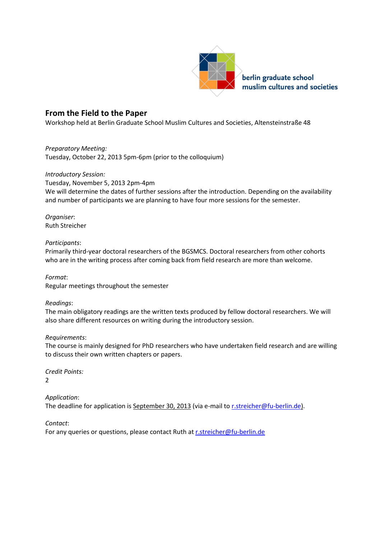

# **From the Field to the Paper**

Workshop held at Berlin Graduate School Muslim Cultures and Societies, Altensteinstraße 48

*Preparatory Meeting:* Tuesday, October 22, 2013 5pm-6pm (prior to the colloquium)

#### *Introductory Session:*

Tuesday, November 5, 2013 2pm-4pm We will determine the dates of further sessions after the introduction. Depending on the availability and number of participants we are planning to have four more sessions for the semester.

*Organiser*: Ruth Streicher

### *Participants*:

Primarily third-year doctoral researchers of the BGSMCS. Doctoral researchers from other cohorts who are in the writing process after coming back from field research are more than welcome.

*Format*: Regular meetings throughout the semester

## *Readings*:

The main obligatory readings are the written texts produced by fellow doctoral researchers. We will also share different resources on writing during the introductory session.

## *Requirements*:

The course is mainly designed for PhD researchers who have undertaken field research and are willing to discuss their own written chapters or papers.

*Credit Points:* 2

*Application*: The deadline for application is September 30, 2013 (via e-mail to [r.streicher@fu-berlin.de](mailto:ruth.streicher@gmail.com)[\).](mailto:r.streicher@fu-berlin.de)

*Contact*:

For any queries or questions, please contact Ruth a[t r.streicher@fu-berlin.de](mailto:ruth.streicher@gmail.com)